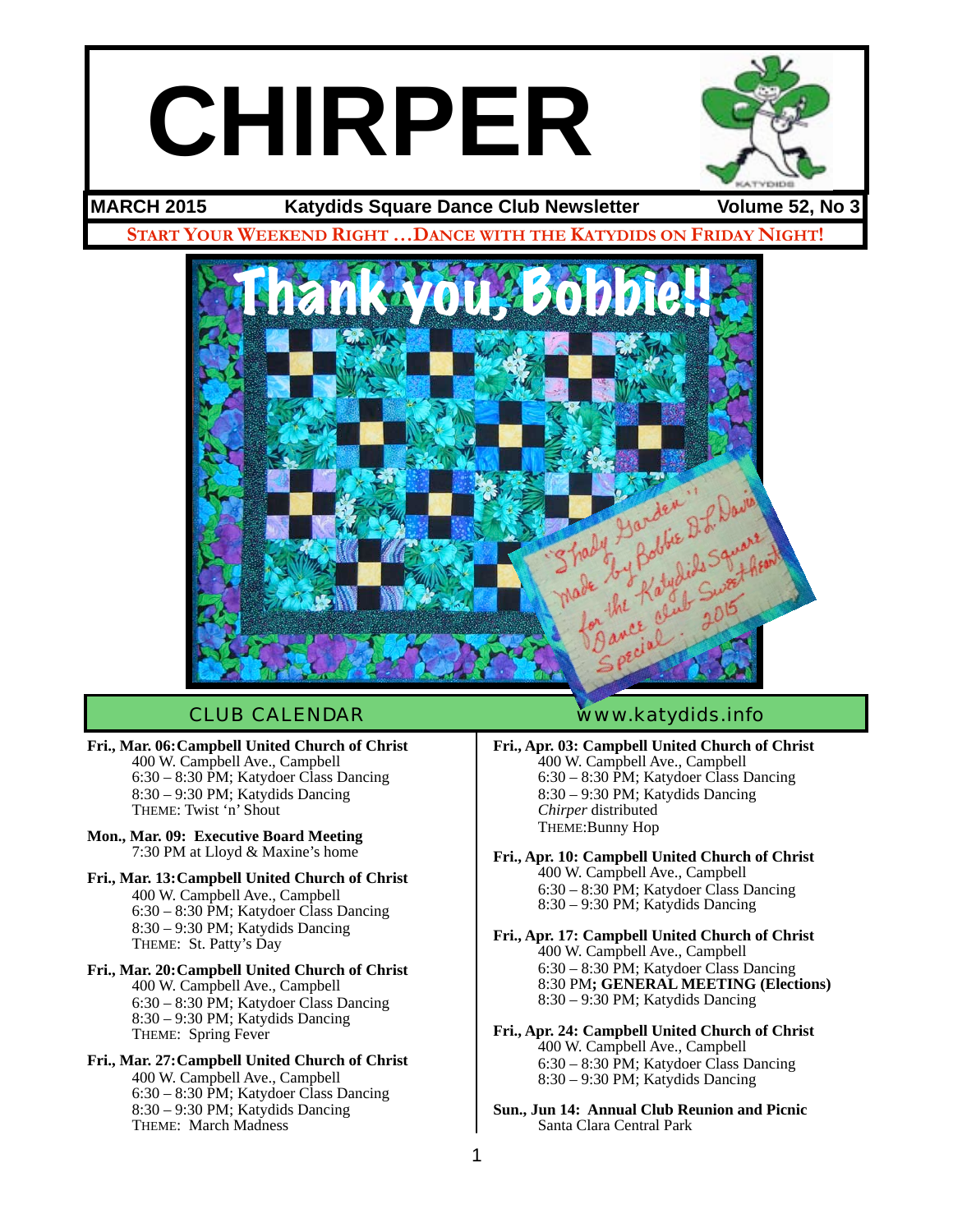# **CHIRPER**



## **MARCH 2015 Katydids Square Dance Club Newsletter Volume 52, No 3**



#### **Fri., Mar. 06:Campbell United Church of Christ** 400 W. Campbell Ave., Campbell 6:30 – 8:30 PM; Katydoer Class Dancing 8:30 – 9:30 PM; Katydids Dancing THEME: Twist 'n' Shout

- **Mon., Mar. 09: Executive Board Meeting** 7:30 PM at Lloyd & Maxine's home
- **Fri., Mar. 13:Campbell United Church of Christ** 400 W. Campbell Ave., Campbell 6:30 – 8:30 PM; Katydoer Class Dancing 8:30 – 9:30 PM; Katydids Dancing THEME: St. Patty's Day
- **Fri., Mar. 20:Campbell United Church of Christ** 400 W. Campbell Ave., Campbell 6:30 – 8:30 PM; Katydoer Class Dancing 8:30 – 9:30 PM; Katydids Dancing THEME: Spring Fever

#### **Fri., Mar. 27:Campbell United Church of Christ** 400 W. Campbell Ave., Campbell 6:30 – 8:30 PM; Katydoer Class Dancing 8:30 – 9:30 PM; Katydids Dancing THEME: March Madness

## CLUB CALENDAR [www.katydids.info](http://www.katydids.info)

**Fri., Apr. 03: Campbell United Church of Christ** 400 W. Campbell Ave., Campbell 6:30 – 8:30 PM; Katydoer Class Dancing 8:30 – 9:30 PM; Katydids Dancing *Chirper* distributed THEME:Bunny Hop

- **Fri., Apr. 10: Campbell United Church of Christ** 400 W. Campbell Ave., Campbell 6:30 – 8:30 PM; Katydoer Class Dancing 8:30 – 9:30 PM; Katydids Dancing
- **Fri., Apr. 17: Campbell United Church of Christ** 400 W. Campbell Ave., Campbell 6:30 – 8:30 PM; Katydoer Class Dancing 8:30 PM**; GENERAL MEETING (Elections)** 8:30 – 9:30 PM; Katydids Dancing

#### **Fri., Apr. 24: Campbell United Church of Christ** 400 W. Campbell Ave., Campbell 6:30 – 8:30 PM; Katydoer Class Dancing 8:30 – 9:30 PM; Katydids Dancing

**Sun., Jun 14: Annual Club Reunion and Picnic** Santa Clara Central Park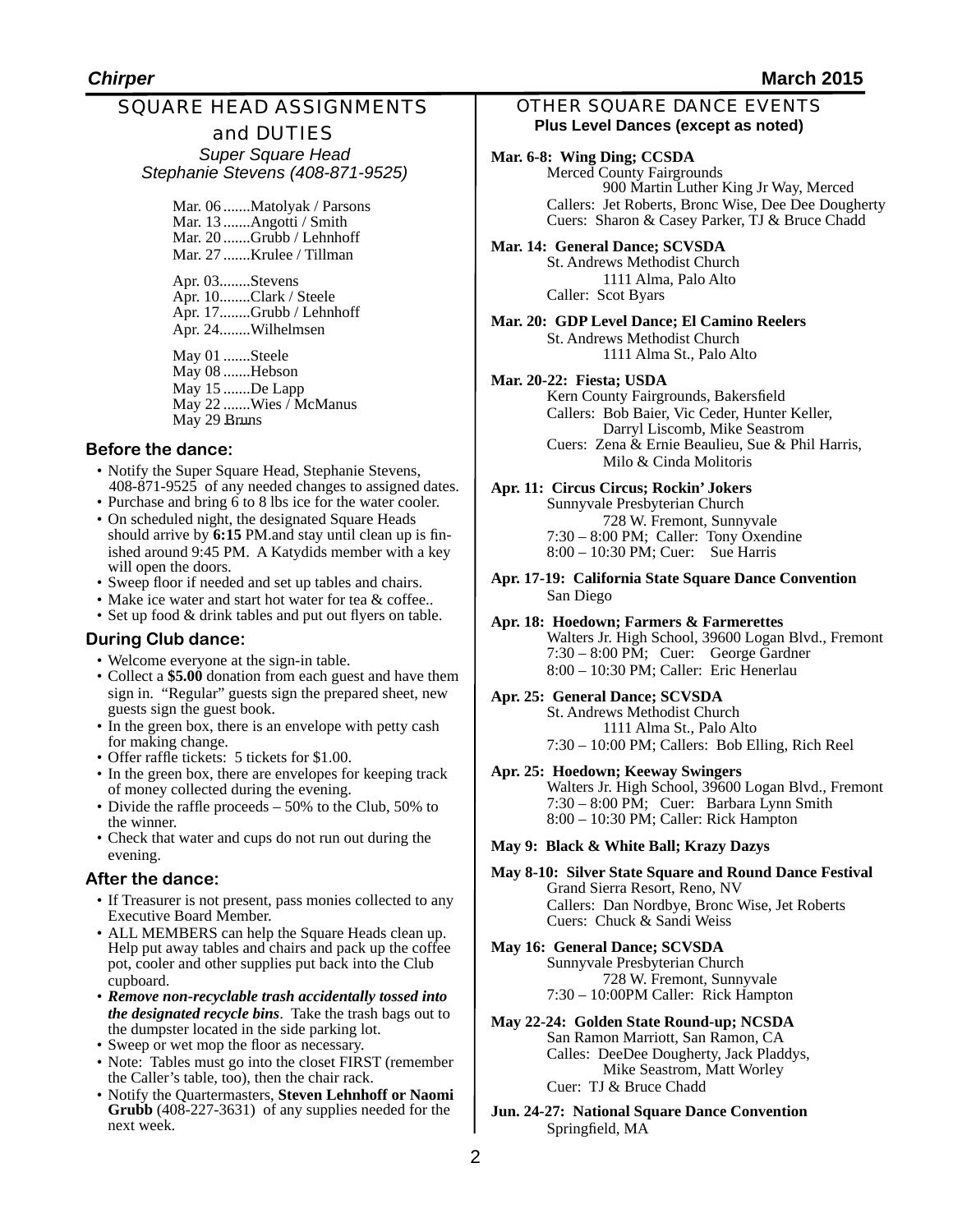## SQUARE HEAD ASSIGNMENTS

## and DUTIES *Super Square Head Stephanie Stevens (408-871-9525)*

Mar. 06 .......Matolyak / Parsons Mar. 13 .......Angotti / Smith Mar. 20 .......Grubb / Lehnhoff Mar. 27 .......Krulee / Tillman Apr. 03........Stevens Apr. 10........Clark / Steele Apr. 17........Grubb / Lehnhoff Apr. 24........Wilhelmsen May 01 .......Steele May 08 .......Hebson May 15 .......De Lapp May 22 .......Wies / McManus May 29 Bruns

## **Before the dance:**

- Notify the Super Square Head, Stephanie Stevens, 408-871-9525 of any needed changes to assigned dates.
- Purchase and bring 6 to 8 lbs ice for the water cooler. • On scheduled night, the designated Square Heads should arrive by **6:15** PM.and stay until clean up is finished around 9:45 PM. A Katydids member with a key will open the doors.
- Sweep floor if needed and set up tables and chairs.
- Make ice water and start hot water for tea & coffee..
- Set up food & drink tables and put out flyers on table.

## **During Club dance:**

- Welcome everyone at the sign-in table.
- Collect a **\$5.00** donation from each guest and have them sign in. "Regular" guests sign the prepared sheet, new guests sign the guest book.
- In the green box, there is an envelope with petty cash for making change.
- Offer raffle tickets: 5 tickets for \$1.00.
- In the green box, there are envelopes for keeping track of money collected during the evening.
- Divide the raffle proceeds 50% to the Club, 50% to the winner.
- Check that water and cups do not run out during the evening.

## **After the dance:**

- If Treasurer is not present, pass monies collected to any Executive Board Member.
- ALL MEMBERS can help the Square Heads clean up. Help put away tables and chairs and pack up the coffee pot, cooler and other supplies put back into the Club cupboard.
- *Remove non-recyclable trash accidentally tossed into the designated recycle bins*. Take the trash bags out to the dumpster located in the side parking lot.
- Sweep or wet mop the floor as necessary.
- Note: Tables must go into the closet FIRST (remember the Caller's table, too), then the chair rack.
- Notify the Quartermasters, **Steven Lehnhoff or Naomi Grubb** (408-227-3631) of any supplies needed for the next week.

## OTHER SQUARE DANCE EVENTS **Plus Level Dances (except as noted)**

#### **Mar. 6-8: Wing Ding; CCSDA**

Merced County Fairgrounds ! ! 900 Martin Luther King Jr Way, Merced Callers: Jet Roberts, Bronc Wise, Dee Dee Dougherty Cuers: Sharon & Casey Parker, TJ & Bruce Chadd

#### **Mar. 14: General Dance; SCVSDA**

St. Andrews Methodist Church ! ! 1111 Alma, Palo Alto Caller: Scot Byars

#### **Mar. 20: GDP Level Dance; El Camino Reelers** St. Andrews Methodist Church

! ! 1111 Alma St., Palo Alto

## **Mar. 20-22: Fiesta; USDA**

Kern County Fairgrounds, Bakersfield Callers: Bob Baier, Vic Ceder, Hunter Keller, Darryl Liscomb, Mike Seastrom Cuers: Zena & Ernie Beaulieu, Sue & Phil Harris, Milo & Cinda Molitoris

#### **Apr. 11: Circus Circus; Rockin' Jokers**

Sunnyvale Presbyterian Church 728 W. Fremont, Sunnyvale 7:30 – 8:00 PM; Caller: Tony Oxendine 8:00 – 10:30 PM; Cuer: Sue Harris

**Apr. 17-19: California State Square Dance Convention** San Diego

#### **Apr. 18: Hoedown; Farmers & Farmerettes** Walters Jr. High School, 39600 Logan Blvd., Fremont 7:30 – 8:00 PM; Cuer: George Gardner 8:00 – 10:30 PM; Caller: Eric Henerlau

## **Apr. 25: General Dance; SCVSDA**

St. Andrews Methodist Church ! ! 1111 Alma St., Palo Alto 7:30 – 10:00 PM; Callers: Bob Elling, Rich Reel

#### **Apr. 25: Hoedown; Keeway Swingers**

Walters Jr. High School, 39600 Logan Blvd., Fremont 7:30 – 8:00 PM; Cuer: Barbara Lynn Smith 8:00 – 10:30 PM; Caller: Rick Hampton

#### **May 9: Black & White Ball; Krazy Dazys**

- **May 8-10: Silver State Square and Round Dance Festival** Grand Sierra Resort, Reno, NV Callers: Dan Nordbye, Bronc Wise, Jet Roberts Cuers: Chuck & Sandi Weiss
- **May 16: General Dance; SCVSDA** Sunnyvale Presbyterian Church 728 W. Fremont, Sunnyvale 7:30 – 10:00PM Caller: Rick Hampton
- **May 22-24: Golden State Round-up; NCSDA** San Ramon Marriott, San Ramon, CA Calles: DeeDee Dougherty, Jack Pladdys, Mike Seastrom, Matt Worley Cuer: TJ & Bruce Chadd

**Jun. 24-27: National Square Dance Convention** Springfield, MA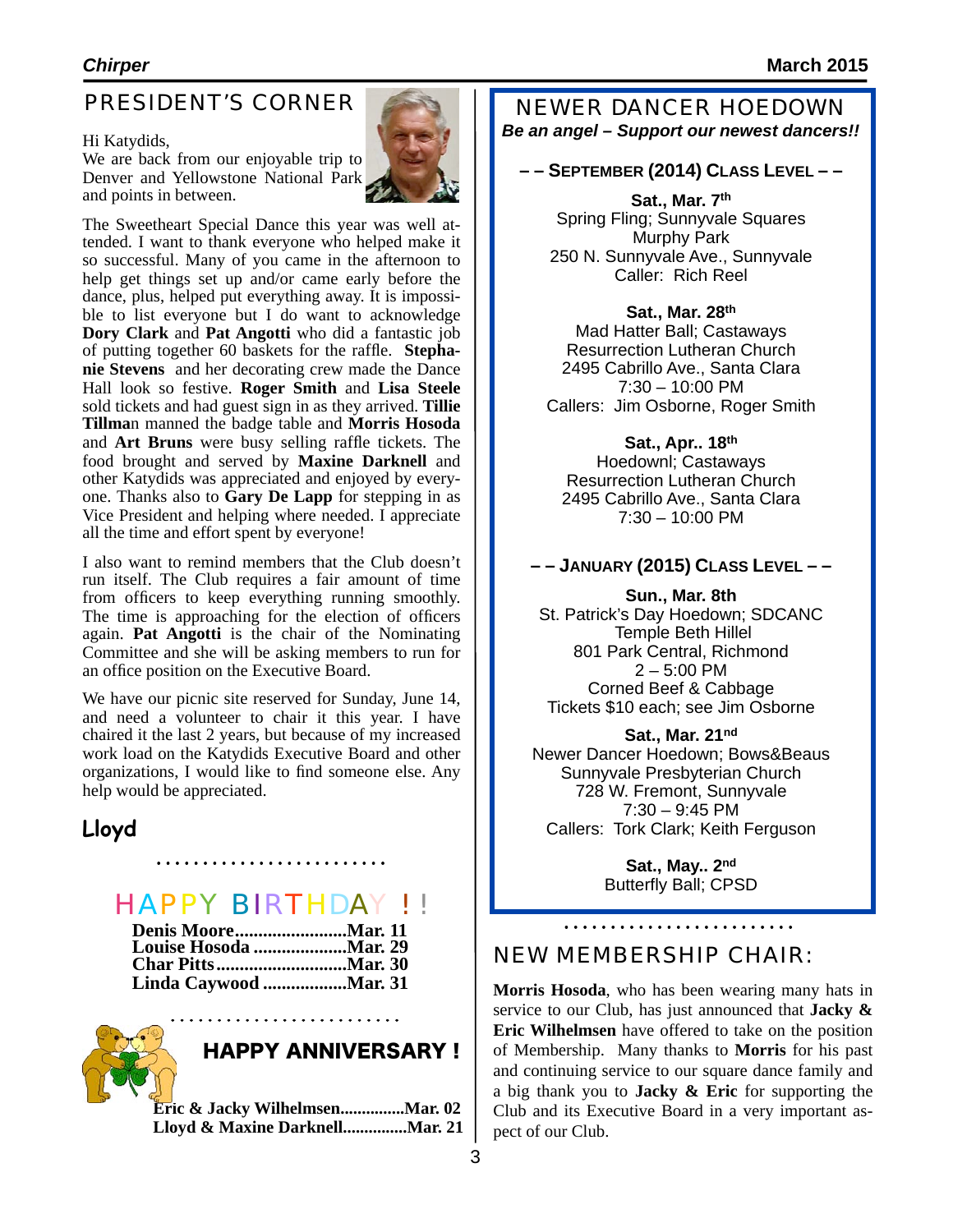## PRESIDENT'S CORNER

## Hi Katydids,

 and points in between. We are back from our enjoyable trip to Denver and Yellowstone National Park



The Sweetheart Special Dance this year was well attended. I want to thank everyone who helped make it so successful. Many of you came in the afternoon to help get things set up and/or came early before the dance, plus, helped put everything away. It is impossible to list everyone but I do want to acknowledge **Dory Clark** and **Pat Angotti** who did a fantastic job of putting together 60 baskets for the raffle. **Stephanie Stevens** and her decorating crew made the Dance Hall look so festive. **Roger Smith** and **Lisa Steele** sold tickets and had guest sign in as they arrived. **Tillie Tillma**n manned the badge table and **Morris Hosoda**  and **Art Bruns** were busy selling raffle tickets. The food brought and served by **Maxine Darknell** and other Katydids was appreciated and enjoyed by everyone. Thanks also to **Gary De Lapp** for stepping in as Vice President and helping where needed. I appreciate all the time and effort spent by everyone!

I also want to remind members that the Club doesn't run itself. The Club requires a fair amount of time from officers to keep everything running smoothly. The time is approaching for the election of officers again. **Pat Angotti** is the chair of the Nominating Committee and she will be asking members to run for an office position on the Executive Board.

We have our picnic site reserved for Sunday, June 14, and need a volunteer to chair it this year. I have chaired it the last 2 years, but because of my increased work load on the Katydids Executive Board and other organizations, I would like to find someone else. Any help would be appreciated.

## **Lloyd**

## HAPPY BIRTHDAY ! !

| <b>Denis MooreMar. 11</b> |  |
|---------------------------|--|
| Louise Hosoda Mar. 29     |  |
|                           |  |
| Linda Caywood Mar. 31     |  |



## HAPPY ANNIVERSARY !

**Eric & Jacky Wilhelmsen...............Mar. 02 Lloyd & Maxine Darknell...............Mar. 21**

. . . . . . . . . . . . . . . . . .

NEWER DANCER HOEDOWN *Be an angel – Support our newest dancers!!*

## **– – SEPTEMBER (2014) CLASS LEVEL – –**

**Sat., Mar. 7th** Spring Fling; Sunnyvale Squares Murphy Park 250 N. Sunnyvale Ave., Sunnyvale Caller: Rich Reel

**Sat., Mar. 28th**

Mad Hatter Ball; Castaways Resurrection Lutheran Church 2495 Cabrillo Ave., Santa Clara 7:30 – 10:00 PM Callers: Jim Osborne, Roger Smith

**Sat., Apr.. 18th** Hoedownl; Castaways Resurrection Lutheran Church 2495 Cabrillo Ave., Santa Clara 7:30 – 10:00 PM

## **– – JANUARY (2015) CLASS LEVEL – –**

**Sun., Mar. 8th** St. Patrick's Day Hoedown; SDCANC Temple Beth Hillel 801 Park Central, Richmond 2 – 5:00 PM Corned Beef & Cabbage Tickets \$10 each; see Jim Osborne

**Sat., Mar. 21nd** Newer Dancer Hoedown; Bows&Beaus Sunnyvale Presbyterian Church 728 W. Fremont, Sunnyvale 7:30 – 9:45 PM Callers: Tork Clark; Keith Ferguson

> **Sat., May.. 2nd** Butterfly Ball; CPSD

## NEW MEMBERSHIP CHAIR:

**Morris Hosoda**, who has been wearing many hats in service to our Club, has just announced that **Jacky & Eric Wilhelmsen** have offered to take on the position of Membership. Many thanks to **Morris** for his past and continuing service to our square dance family and a big thank you to **Jacky & Eric** for supporting the Club and its Executive Board in a very important aspect of our Club.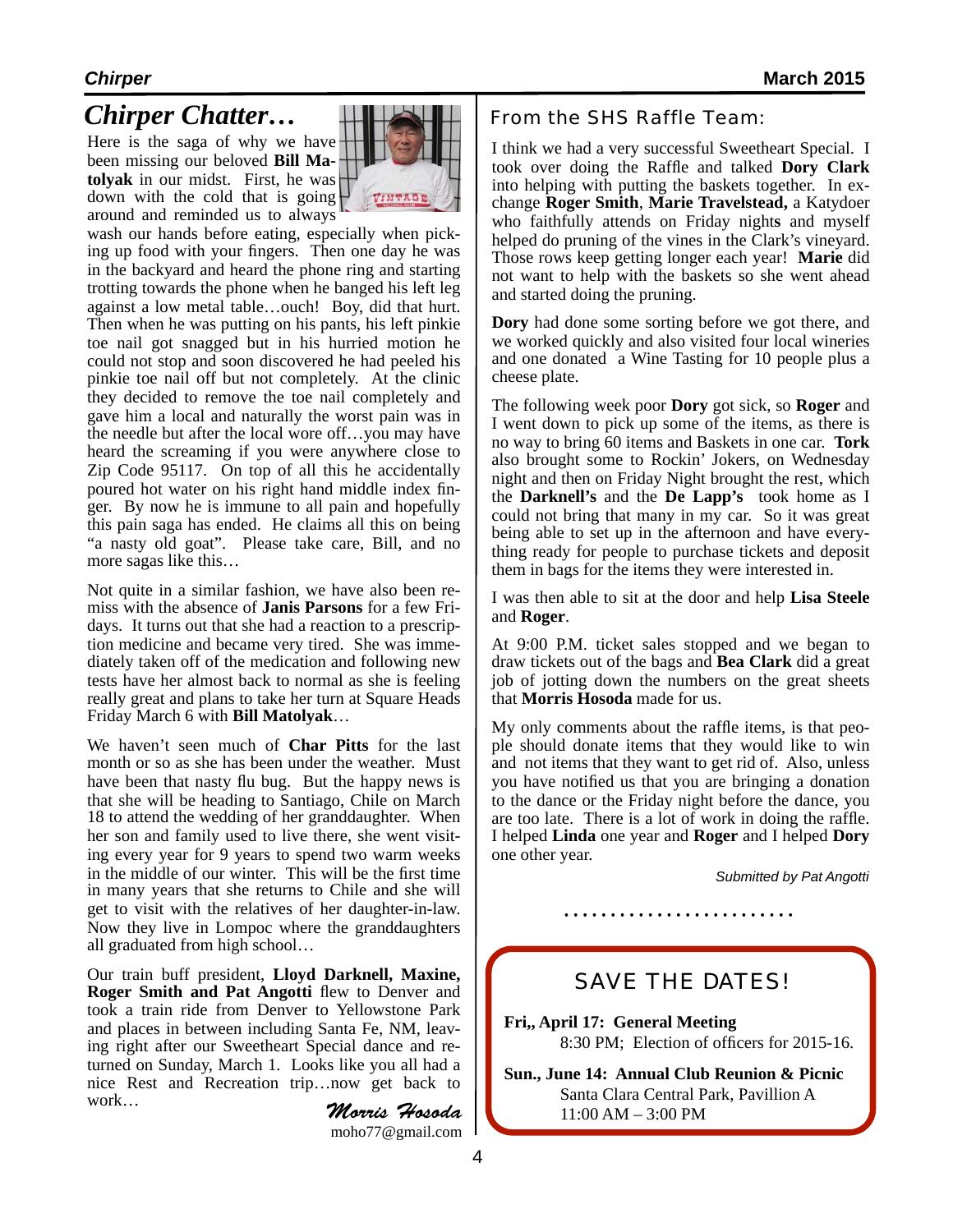## *Chirper Chatter…*

Here is the saga of why we have been missing our beloved **Bill Matolyak** in our midst. First, he was down with the cold that is going around and reminded us to always



wash our hands before eating, especially when picking up food with your fingers. Then one day he was in the backyard and heard the phone ring and starting trotting towards the phone when he banged his left leg against a low metal table…ouch! Boy, did that hurt. Then when he was putting on his pants, his left pinkie toe nail got snagged but in his hurried motion he could not stop and soon discovered he had peeled his pinkie toe nail off but not completely. At the clinic they decided to remove the toe nail completely and gave him a local and naturally the worst pain was in the needle but after the local wore off…you may have heard the screaming if you were anywhere close to Zip Code 95117. On top of all this he accidentally poured hot water on his right hand middle index fin- ger. By now he is immune to all pain and hopefully this pain saga has ended. He claims all this on being "a nasty old goat". Please take care, Bill, and no more sagas like this…

Not quite in a similar fashion, we have also been remiss with the absence of **Janis Parsons** for a few Fridays. It turns out that she had a reaction to a prescription medicine and became very tired. She was immediately taken off of the medication and following new tests have her almost back to normal as she is feeling really great and plans to take her turn at Square Heads Friday March 6 with **Bill Matolyak**…

We haven't seen much of **Char Pitts** for the last month or so as she has been under the weather. Must have been that nasty flu bug. But the happy news is that she will be heading to Santiago, Chile on March 18 to attend the wedding of her granddaughter. When her son and family used to live there, she went visiting every year for 9 years to spend two warm weeks in the middle of our winter. This will be the first time in many years that she returns to Chile and she will get to visit with the relatives of her daughter-in-law. Now they live in Lompoc where the granddaughters all graduated from high school…

Our train buff president, **Lloyd Darknell, Maxine, Roger Smith and Pat Angotti** flew to Denver and took a train ride from Denver to Yellowstone Park and places in between including Santa Fe, NM, leaving right after our Sweetheart Special dance and returned on Sunday, March 1. Looks like you all had a nice Rest and Recreation trip…now get back to work…

*Morris Hosoda* [moho77@gmail.com](mailto:moho77@gmail.com)

## From the SHS Raffle Team:

I think we had a very successful Sweetheart Special. I took over doing the Raffle and talked **Dory Clark** into helping with putting the baskets together. In exchange **Roger Smith**, **Marie Travelstead,** a Katydoer who faithfully attends on Friday night**s** and myself helped do pruning of the vines in the Clark's vineyard. Those rows keep getting longer each year! **Marie** did not want to help with the baskets so she went ahead and started doing the pruning.

**Dory** had done some sorting before we got there, and we worked quickly and also visited four local wineries and one donated a Wine Tasting for 10 people plus a cheese plate.

The following week poor **Dory** got sick, so **Roger** and I went down to pick up some of the items, as there is no way to bring 60 items and Baskets in one car. **Tork** also brought some to Rockin' Jokers, on Wednesday night and then on Friday Night brought the rest, which the **Darknell's** and the **De Lapp's** took home as I could not bring that many in my car. So it was great being able to set up in the afternoon and have everything ready for people to purchase tickets and deposit them in bags for the items they were interested in.

I was then able to sit at the door and help **Lisa Steele** and **Roger**.

At 9:00 P.M. ticket sales stopped and we began to draw tickets out of the bags and **Bea Clark** did a great job of jotting down the numbers on the great sheets that **Morris Hosoda** made for us.

My only comments about the raffle items, is that people should donate items that they would like to win and not items that they want to get rid of. Also, unless you have notified us that you are bringing a donation to the dance or the Friday night before the dance, you are too late. There is a lot of work in doing the raffle. I helped **Linda** one year and **Roger** and I helped **Dory** one other year.

*Submitted by Pat Angotti*

## SAVE THE DATES!

**Fri,, April 17: General Meeting** 8:30 PM; Election of officers for 2015-16.

**Sun., June 14: Annual Club Reunion & Picnic** Santa Clara Central Park, Pavillion A 11:00 AM – 3:00 PM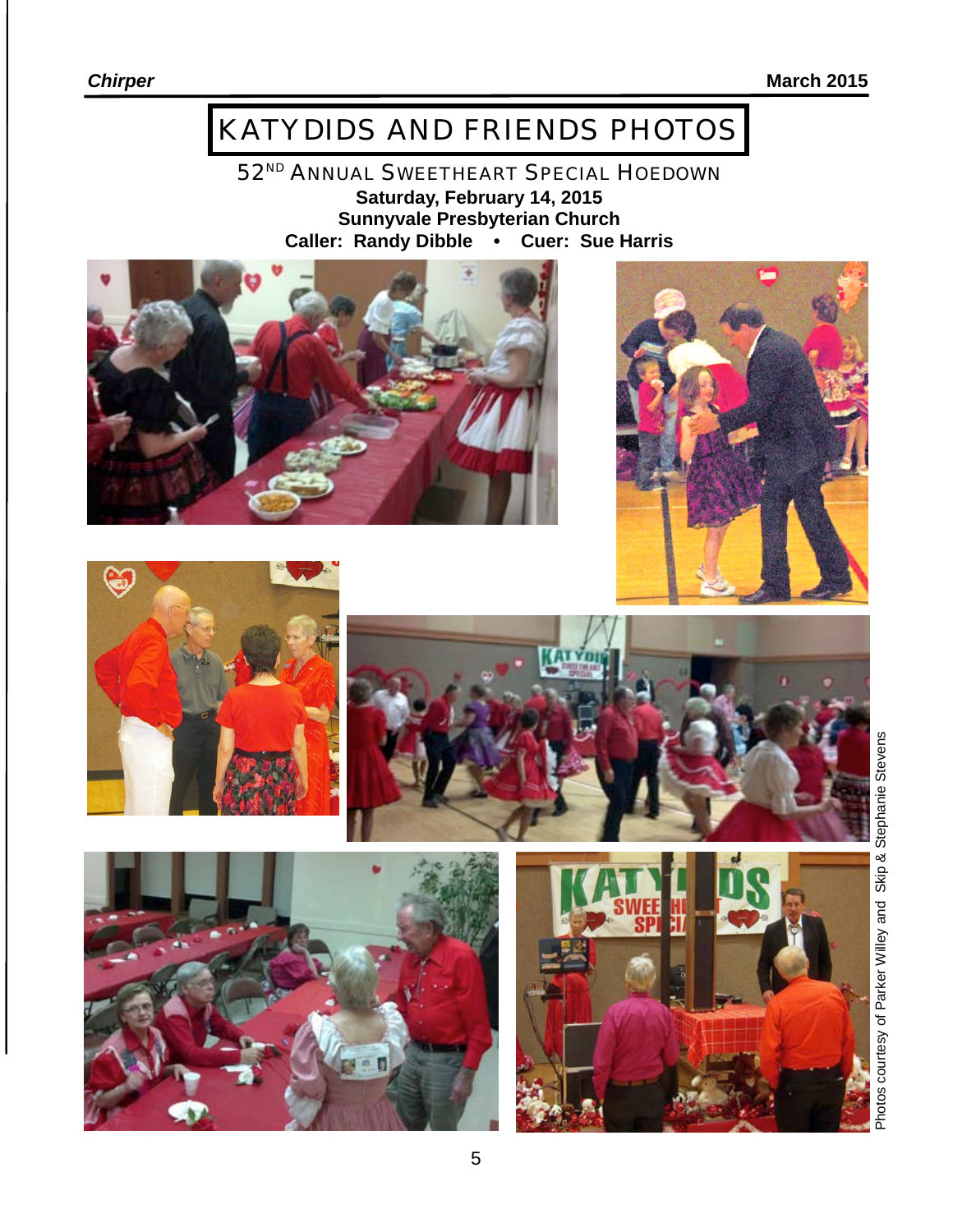# KATYDIDS AND FRIENDS PHOTOS

52ND ANNUAL SWEETHEART SPECIAL HOEDOWN

**Saturday, February 14, 2015 Sunnyvale Presbyterian Church Caller: Randy Dibble • Cuer: Sue Harris**











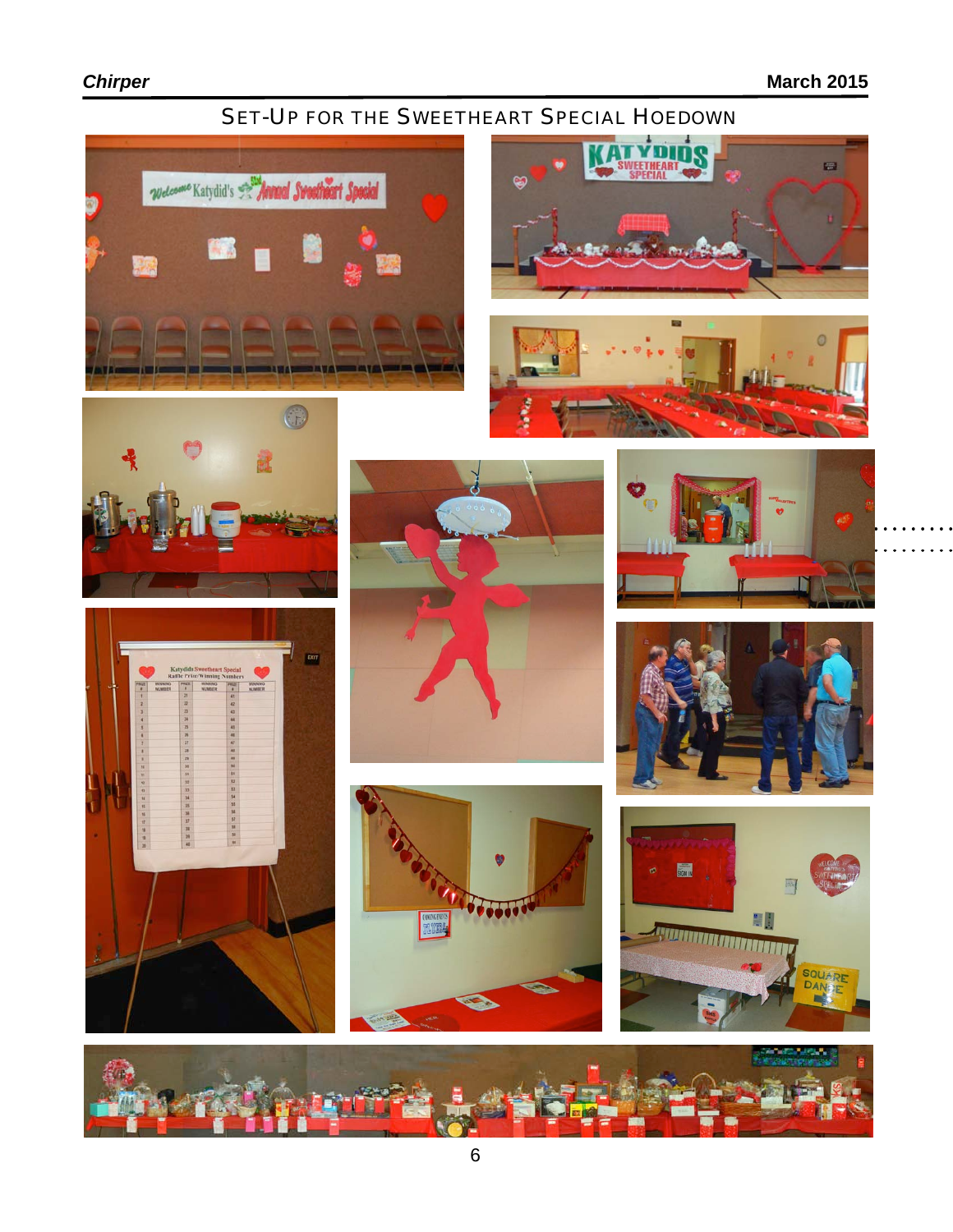## SET-UP FOR THE SWEETHEART SPECIAL HOEDOWN





















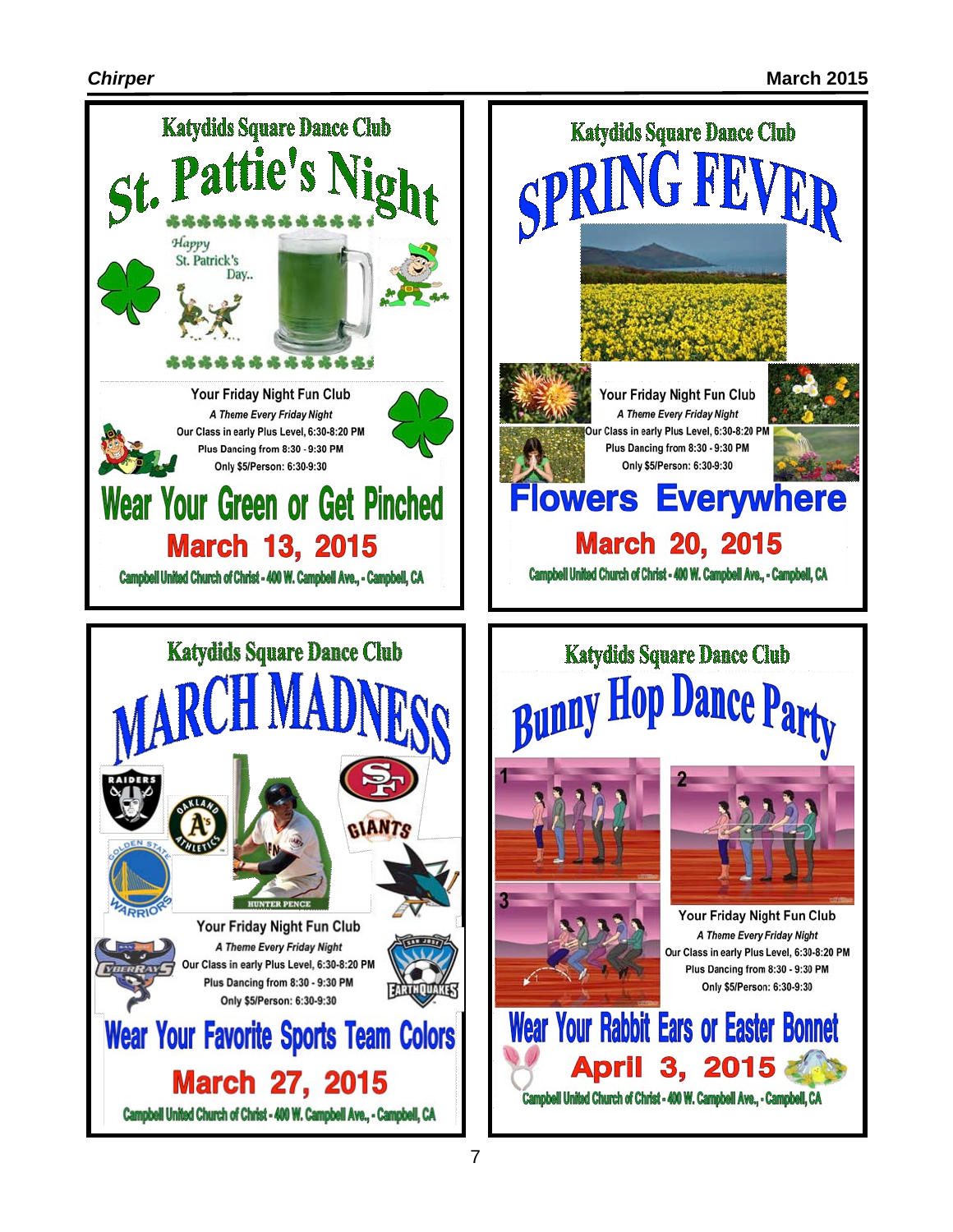